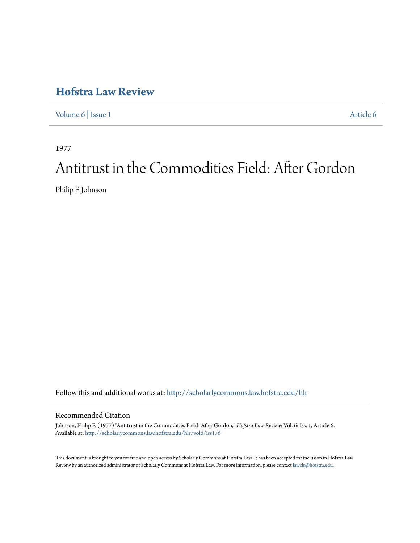## **[Hofstra Law Review](http://scholarlycommons.law.hofstra.edu/hlr?utm_source=scholarlycommons.law.hofstra.edu%2Fhlr%2Fvol6%2Fiss1%2F6&utm_medium=PDF&utm_campaign=PDFCoverPages)**

[Volume 6](http://scholarlycommons.law.hofstra.edu/hlr/vol6?utm_source=scholarlycommons.law.hofstra.edu%2Fhlr%2Fvol6%2Fiss1%2F6&utm_medium=PDF&utm_campaign=PDFCoverPages) | [Issue 1](http://scholarlycommons.law.hofstra.edu/hlr/vol6/iss1?utm_source=scholarlycommons.law.hofstra.edu%2Fhlr%2Fvol6%2Fiss1%2F6&utm_medium=PDF&utm_campaign=PDFCoverPages) [Article 6](http://scholarlycommons.law.hofstra.edu/hlr/vol6/iss1/6?utm_source=scholarlycommons.law.hofstra.edu%2Fhlr%2Fvol6%2Fiss1%2F6&utm_medium=PDF&utm_campaign=PDFCoverPages)

1977

# Antitrust in the Commodities Field: After Gordon

Philip F. Johnson

Follow this and additional works at: [http://scholarlycommons.law.hofstra.edu/hlr](http://scholarlycommons.law.hofstra.edu/hlr?utm_source=scholarlycommons.law.hofstra.edu%2Fhlr%2Fvol6%2Fiss1%2F6&utm_medium=PDF&utm_campaign=PDFCoverPages)

#### Recommended Citation

Johnson, Philip F. (1977) "Antitrust in the Commodities Field: After Gordon," *Hofstra Law Review*: Vol. 6: Iss. 1, Article 6. Available at: [http://scholarlycommons.law.hofstra.edu/hlr/vol6/iss1/6](http://scholarlycommons.law.hofstra.edu/hlr/vol6/iss1/6?utm_source=scholarlycommons.law.hofstra.edu%2Fhlr%2Fvol6%2Fiss1%2F6&utm_medium=PDF&utm_campaign=PDFCoverPages)

This document is brought to you for free and open access by Scholarly Commons at Hofstra Law. It has been accepted for inclusion in Hofstra Law Review by an authorized administrator of Scholarly Commons at Hofstra Law. For more information, please contact [lawcls@hofstra.edu](mailto:lawcls@hofstra.edu).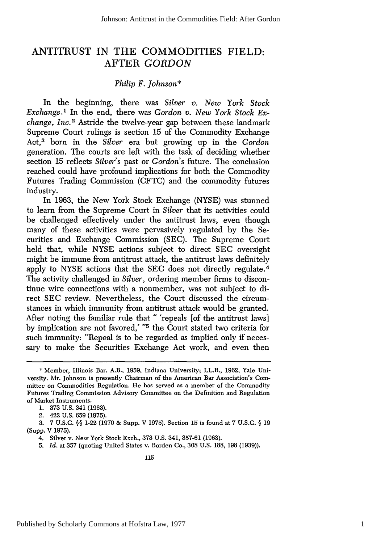### ANTITRUST **IN** THE **COMMODITIES** FIELD: AFTER *GORDON*

#### *Philip F. Johnson\**

In the beginning, there was *Silver v. New York Stock Exchange.'* In the end, there was *Gordon v. New York Stock Exchange, Inc.2* Astride the twelve-year gap between these landmark Supreme Court rulings is section 15 of the Commodity Exchange Act, 3 born in the *Silver* era but growing up in the *Gordon* generation. The courts are left with the task of deciding whether section 15 reflects *Silver's* past or *Gordon's* future. The conclusion reached could have profound implications for both the Commodity Futures Trading Commission (CFTC) and the commodity futures industry.

In 1963, the New York Stock Exchange (NYSE) was stunned to learn from the Supreme Court in *Silver* that its activities could be challenged effectively under the antitrust laws, even though many of these activities were pervasively regulated by the Securities and Exchange Commission (SEC). The Supreme Court held that, while NYSE actions subject to direct SEC oversight might be immune from antitrust attack, the antitrust laws definitely apply to NYSE actions that the SEC does not directly regulate. <sup>4</sup> The activity challenged in *Silver,* ordering member firms to discontinue wire connections with a nonmember, was not subject to direct SEC review. Nevertheless, the Court discussed the circumstances in which immunity from antitrust attack would be granted. After noting the familiar rule that " 'repeals [of the antitrust laws] by implication are not favored,' **"5** the Court stated two criteria for such immunity: "Repeal is to be regarded as implied only if necessary to make the Securities Exchange Act work, and even then

<sup>\*</sup> Member, Illinois Bar. A.B., 1959, Indiana University; LL.B., 1962, Yale University. Mr. Johnson is presently Chairman of the American Bar Association's Committee on Commodities Regulation. He has served as a member of the Commodity Futures Trading Commission Advisory Committee on the Definition and Regulation of Market Instruments.

<sup>1. 373</sup> U.S. 341 (1963).

<sup>2. 422</sup> U.S. 659 (1975).

<sup>3. 7</sup> U.S.C. **§§** 1-22 (1970 & Supp. V 1975). Section 15 is found at 7 U.S.C. **§** 19 (Supp. V 1975).

<sup>4.</sup> Silver v. New York Stock Exch., 373 U.S. 341, 357-61 (1963).

<sup>5.</sup> *Id.* at 357 (quoting United States v. Borden Co., 308 U.S. 188, 198 (1939)).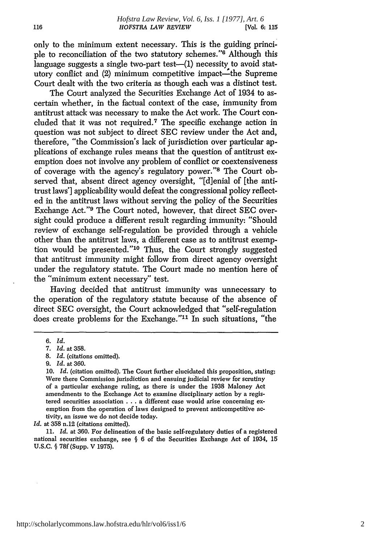only to the minimum extent necessary. This is the guiding principle to reconciliation of the two statutory schemes."<sup>6</sup> Although this language suggests a single two-part test- $(1)$  necessity to avoid statutory conflict and (2) minimum competitive impact—the Supreme Court dealt with the two criteria as though each was a distinct test.

The Court analyzed the Securities Exchange Act of 1934 to ascertain whether, in the factual context of the case, immunity from antitrust attack was necessary to make the Act work. The Court concluded that it was not required.<sup>7</sup> The specific exchange action in question was not subject to direct SEC review under the Act and, therefore, "the Commission's lack of jurisdiction over particular applications of exchange rules means that the question of antitrust exemption does not involve any problem of conflict or coextensiveness of coverage with the agency's regulatory power."<sup>8</sup> The Court observed that, absent direct agency oversight, "[d]enial of [the antitrust laws'] applicability would defeat the congressional policy reflected in the antitrust laws without serving the policy of the Securities Exchange Act."<sup>9</sup> The Court noted, however, that direct SEC oversight could produce a different result regarding immunity: "Should review of exchange self-regulation be provided through a vehicle other than the antitrust laws, a different case as to antitrust exemption would be presented."'10 Thus, the Court strongly suggested that antitrust immunity might follow from direct agency oversight under the regulatory statute. The Court made no mention here of the "minimum extent necessary" test.

Having decided that antitrust immunity was unnecessary to the operation of the regulatory statute because of the absence of direct SEC oversight, the Court acknowledged that "self-regulation does create problems for the Exchange."<sup>11</sup> In such situations, "the

Id. at 358 n.12 (citations omitted).

11. *Id.* at 360. For delineation of the basic self-regulatory duties of a registered national securities exchange, see § 6 of the Securities Exchange Act of 1934, 15 U.S.C. **§** 78f (Supp. V 1975).

<sup>6.</sup> *id.*

*<sup>7.</sup> Id.* at 358.

**<sup>8.</sup>** *Id.* (citations omitted).

*<sup>9.</sup> Id.* at 360.

<sup>10.</sup> *Id.* (citation omitted). The Court further elucidated this proposition, stating: Were there Commission jurisdiction and ensuing judicial review for scrutiny of a particular exchange ruling, as there is under the 1938 Maloney Act amendments to the Exchange Act to examine disciplinary action by a registered securities association . . . a different case would arise concerning exemption from the operation of laws designed to prevent anticompetitive activity, an issue we do not decide today.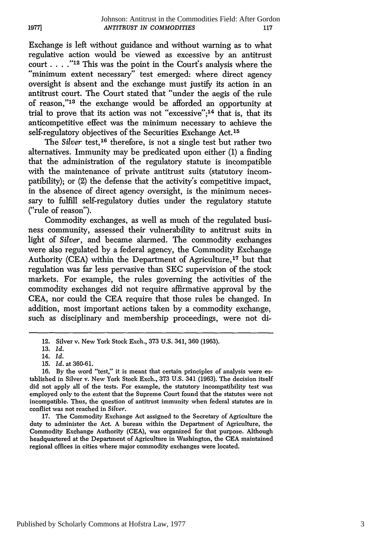Exchange is left without guidance and without warning as to what regulative action would be viewed as excessive by an antitrust court **.... "12** This was the point in the Court's analysis where the "minimum extent necessary" test emerged: where direct agency oversight is absent and the exchange must justify its action in an antitrust court. The Court stated that "under the aegis of the rule of reason,"<sup>13</sup> the exchange would be afforded an opportunity at trial to prove that its action was not "excessive"; 14 that is, that its anticompetitive effect was the minimum necessary to achieve the self-regulatory objectives of the Securities Exchange Act.<sup>15</sup>

The *Silver* test,<sup>16</sup> therefore, is not a single test but rather two alternatives. Immunity may be predicated upon either (1) a finding that the administration of the regulatory statute is incompatible with the maintenance of private antitrust suits (statutory incompatibility); or (2) the defense that the activity's competitive impact, in the absence of direct agency oversight, is the minimum necessary to fulfill self-regulatory duties under the regulatory statute ("rule of reason").

Commodity exchanges, as well as much of the regulated business community, assessed their vulnerability to antitrust suits in light of *Silver,* and became alarmed. The commodity exchanges were also regulated by a federal agency, the Commodity Exchange Authority (CEA) within the Department of Agriculture, $17$  but that regulation was far less pervasive than SEC supervision of the stock markets. For example, the rules governing the activities of the commodity exchanges did not require affirmative approval by the CEA, nor could the CEA require that those rules be changed. In addition, most important actions taken by a commodity exchange, such as disciplinary and membership proceedings, were not di-

**19771**

17. The Commodity Exchange Act assigned to the Secretary of Agriculture the duty to administer the Act. A bureau within the Department of Agriculture, the Commodity Exchange Authority (CEA), was organized for that purpose. Although headquartered at the Department of Agriculture in Washington, the CEA maintained regional offices in cities where major commodity exchanges were located.

<sup>12.</sup> Silver v. New York Stock Exch., 373 U.S. 341, 360 (1963).

<sup>13.</sup> *Id.*

<sup>14.</sup> *Id.*

<sup>15.</sup> *Id.* at 360-61.

**<sup>16.</sup> By** the word "test," it is meant that certain principles of analysis were established in Silver v. New York Stock Exch., 373 U.S. 341 (1963). The decision itself did not apply all of the tests. For example, the statutory incompatibility test was employed only to the extent that the Supreme Court found that the statutes were not incompatible. Thus, the question of antitrust immunity when federal statutes are in conflict was not reached in *Silver.*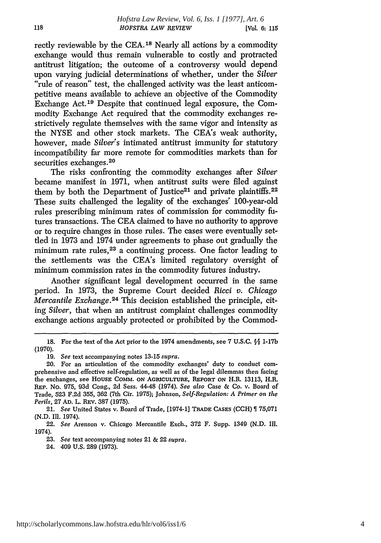rectly reviewable by the CEA.18 Nearly all actions by a commodity exchange would thus remain vulnerable to costly and protracted antitrust litigation; the outcome of a controversy would depend upon varying judicial determinations of whether, under the *Silver* "rule of reason" test, the challenged activity was the least anticompetitive means available to achieve an objective of the Commodity Exchange Act. 19 Despite that continued legal exposure, the Commodity Exchange Act required that the commodity exchanges restrictively regulate themselves with the same vigor and intensity as the NYSE and other stock markets. The CEA's weak authority, however, made *Silver's* intimated antitrust immunity for statutory incompatibility far more remote for commodities markets than for securities exchanges.<sup>20</sup>

The risks confronting the commodity exchanges after *Silver* became manifest in 1971, when antitrust suits were filed against them by both the Department of Justice<sup>21</sup> and private plaintiffs.<sup>22</sup> These suits challenged the legality of the exchanges' 100-year-old rules prescribing minimum rates of commission for commodity futures transactions. The CEA claimed to have no authority to approve or to require changes in those rules. The cases were eventually settled in 1973 and 1974 under agreements to phase out gradually the minimum rate rules,<sup>23</sup> a continuing process. One factor leading to the settlements was the CEA's limited regulatory oversight of minimum commission rates in the commodity futures industry.

Another significant legal development occurred in the same period. In 1973, the Supreme Court decided *Ricci v. Chicago Mercantile Exchange.24* This decision established the principle, citing *Silver,* that when an antitrust complaint challenges commodity exchange actions arguably protected or prohibited by the Commod-

21. *See* United States v. Board of Trade, [1974-1] **TRADE CASES (CCH)** 75,071 (N.D. Ill. 1974).

23. *See* text accompanying notes 21 & 22 *supra.*

24. 409 U.S. **289** (1973).

**<sup>18.</sup>** For the text of the Act prior to the 1974 amendments, see 7 **U.S.C. §§ 1-17b** (1970).

<sup>19.</sup> *See* text accompanying notes 13-15 *supra.*

<sup>20.</sup> For an articulation of the commodity exchanges' duty to conduct comprehensive and effective self-regulation, as well as of the legal dilemmas then facing the exchanges, see **HOUSE** COMM. **ON** AGRICULTURE, **REPORT ON** H.R. 13113, H.R. **REP.** No. 975, 93d Cong., 2d Sess. 44-48 (1974). *See also* Case & Co. v. Board of Trade, 523 F.2d 355, 362 (7th Cir. 1975); Johnson, *Self-Regulation: A Primer on the Perils,* 27 **AD.** L. REv. 387 (1975).

<sup>22.</sup> *See* Arenson v. Chicago Mercantile Exch., 372 F. Supp. 1349 (N.D. Ill. 1974).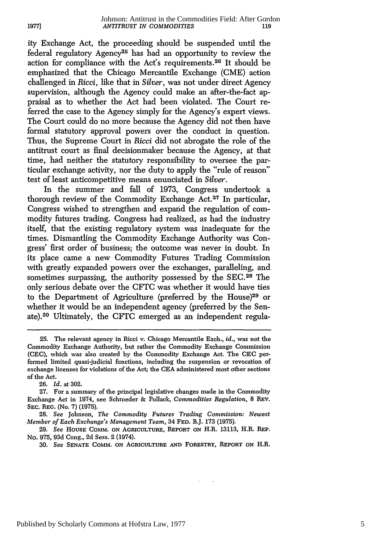ity Exchange Act, the proceeding should be suspended until the federal regulatory Agency<sup>25</sup> has had an opportunity to review the action for compliance with the Act's requirements. 26 It should be emphasized that the Chicago Mercantile Exchange (CME) action challenged in *Ricci,* like that in *Silver,* was not under direct Agency supervision, although the Agency could make an after-the-fact appraisal as to whether the Act had been violated. The Court referred the case to the Agency simply for the Agency's expert views. The Court could do no more because the Agency did not then have formal statutory approval powers over the conduct in question. Thus, the Supreme Court in *Ricci* did not abrogate the role of the antitrust court as final decisionmaker because the Agency, at that time, had neither the statutory responsibility to oversee the particular exchange activity, nor the duty to apply the "rule of reason" test of least anticompetitive means enunciated in *Silver.*

In the summer and fall of 1973, Congress undertook a thorough review of the Commodity Exchange Act.<sup>27</sup> In particular, Congress wished to strengthen and expand the regulation of commodity futures trading. Congress had realized, as had the industry itself, that the existing regulatory system was inadequate for the times. Dismantling the Commodity Exchange Authority was Congress' first order of business; the outcome was never in doubt. In its place came a new Commodity Futures Trading Commission with greatly expanded powers over the exchanges, paralleling, and sometimes surpassing, the authority possessed by the SEC.<sup>28</sup> The only serious debate over the CFTC was whether it would have ties to the Department of Agriculture (preferred by the House)29 or whether it would be an independent agency (preferred by the Senate).<sup>30</sup> Ultimately, the CFTC emerged as an independent regula-

26. *Id.* at 302.

**28.** *See* Johnson, *The Commodity Futures Trading Commission: Newest Member of Each Exchange's Management Team,* 34 **FED.** B.J. **173 (1975).**

**29.** *See* **HousE** COMM. **ON AGRICULTURE, REPORT ON** H.R. **13113,** H.R. **REP.** No. 975, 93d Cong., 2d Sess. 2 (1974).

**30.** *See* **SENATE COMM. ON AGRICULTURE AND** FoREsTRY, **REPORT ON H.R.**

<sup>25.</sup> The relevant agency in Ricci v. Chicago Mercantile Exch., *id.,* was not the Commodity Exchange Authority, but rather the Commodity Exchange Commission (CEC), which was also created by the Commodity Exchange Act. The **CEC** performed limited quasi-judicial functions, including the suspension or revocation of exchange licenses for violations of the Act, the CEA administered most other sections of the Act.

<sup>27.</sup> For a summary of the principal legislative changes made in the Commodity Exchange Act in 1974, see Schroeder & Pollack, *Commodities Regulation,* 8 REV. SEC. REG. (No. **7)** (1975).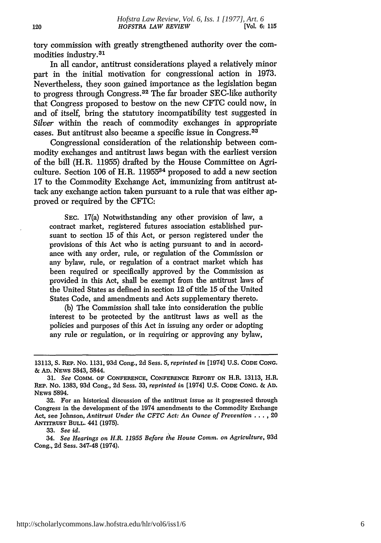tory commission with greatly strengthened authority over the commodities industry. <sup>31</sup>

In all candor, antitrust considerations played a relatively minor part in the initial motivation for congressional action in 1973. Nevertheless, they soon gained importance as the legislation began to progress through Congress. 32 The far broader SEC-like authority that Congress proposed to bestow on the new **CFTC** could now, in and of itself, bring the statutory incompatibility test suggested in *Silver* within the reach of commodity exchanges in appropriate cases. But antitrust also became a specific issue in Congress. <sup>33</sup>

Congressional consideration of the relationship between commodity exchanges and antitrust laws began with the earliest version of the bill (H.R. 11955) drafted by the House Committee on Agriculture. Section 106 of H.R. 1195534 proposed to add a new section 17 to the Commodity Exchange Act, immunizing from antitrust attack any exchange action taken pursuant to a rule that was either approved or required by the CFTC:

SEC. 17(a) Notwithstanding any other provision of law, a contract market, registered futures association established pursuant to section 15 of this Act, or person registered under the provisions of this Act who is acting pursuant to and in accordance with any order, rule, or regulation of the Commission or any bylaw, rule, or regulation of a contract market which has been required or specifically approved by the Commission as provided in this Act, shall be exempt from the antitrust laws of the United States as defined in section 12 of title 15 of the United States Code, and amendments and Acts supplementary thereto.

(b) The Commission shall take into consideration the public interest to be protected by the antitrust laws as well as the policies and purposes of this Act in issuing any order or adopting any rule or regulation, or in requiring or approving any bylaw,

**33.** *See id.*

34. *See Hearings on H.R. 11955 Before the House* Comm. *on Agriculture,* 93d Cong., 2d Sess. 347-48 (1974).

<sup>13113,</sup> **S.** REP. No. 1131, 93d Cong., 2d Sess. 5, *reprinted in* [1974] U.S. CODE **CONG.** & **AD.** NEWS 5843, 5844.

**<sup>31.</sup>** *See* COMM. OF **CONFERENCE, CONFERENCE** REPORT **ON** H.R. **13113,** H.R. REP. No. **1383, 93d** Cong., 2d Sess. 33, *reprinted in* [1974] **U.S. CODE CONG.** & **AD. NEWS 5894.**

<sup>32.</sup> For an historical discussion of the antitrust issue as it progressed through Congress in the development of the 1974 amendments to the Commodity Exchange Act, see Johnson, *Antitrust Under the CFTC Act: An Ounce of Prevention* ... *,* 20 **ANTITRUST BULL.** 441 **(1975).**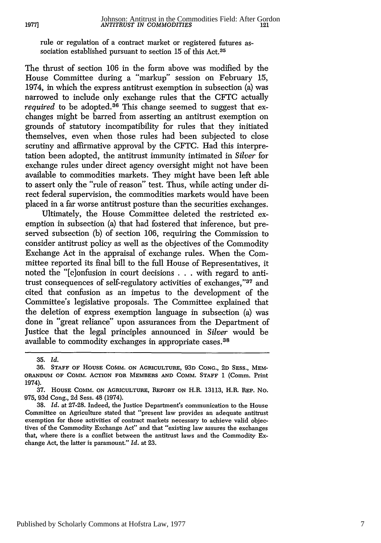rule or regulation of a contract market or registered futures association established pursuant to section **15** of this Act. <sup>35</sup>

The thrust of section 106 in the form above was modified by the House Committee during a "markup" session on February **15,** 1974, in which the express antitrust exemption in subsection (a) was narrowed to include only exchange rules that the CFTC actually *required* to be adopted.<sup>36</sup> This change seemed to suggest that exchanges might be barred from asserting an antitrust exemption on grounds of statutory incompatibility for rules that they initiated themselves, even when those rules had been subjected to close scrutiny and affirmative approval by the CFTC. Had this interpretation been adopted, the antitrust immunity intimated in *Silver* for exchange rules under direct agency oversight might not have been available to commodities markets. They might have been left able to assert only the "rule of reason" test. Thus, while acting under direct federal supervision, the commodities markets would have been placed in a far worse antitrust posture than the securities exchanges.

Ultimately, the House Committee deleted the restricted exemption in subsection (a) that had fostered that inference, but preserved subsection (b) of section 106, requiring the Commission to consider antitrust policy as well as the objectives of the Commodity Exchange Act in the appraisal of exchange rules. When the Committee reported its final bill to the full House of Representatives, it noted the "[c]onfusion in court decisions . . . with regard to antitrust consequences of self-regulatory activities of exchanges,"37 and cited that confusion as an impetus to the development of the Committee's legislative proposals. The Committee explained that the deletion of express exemption language in subsection (a) was done in "great reliance" upon assurances from the Department of Justice that the legal principles announced in *Silver* would be available to commodity exchanges in appropriate cases. <sup>38</sup>

**1977]**

<sup>35.</sup> *Id.*

**<sup>36.</sup> STAFF OF HOUSE COIM. ON AGRICULTURE, 93D CONG., 2D SESS.,** MEM-**ORANDUM OF COMM. ACTION FOR MEMBERS AND COMM. STAFF** 1 **(Comm.** Print 1974).

<sup>37.</sup> **HOUSE** COMM. **ON AGRICULTURE,** REPORT **ON** H.R. 13113, H.R. REP. No. **975, 93d** Cong., 2d Sess. 48 (1974).

<sup>38.</sup> *Id.* at 27-28. Indeed, the Justice Department's communication to the House Committee on Agriculture stated that "present law provides an adequate antitrust exemption for those activities of contract markets necessary to achieve valid objectives of the Commodity Exchange Act" and that "existing law assures the exchanges that, where there is a conflict between the antitrust laws and the Commodity Exchange Act, the latter is paramount." *Id.* at 23.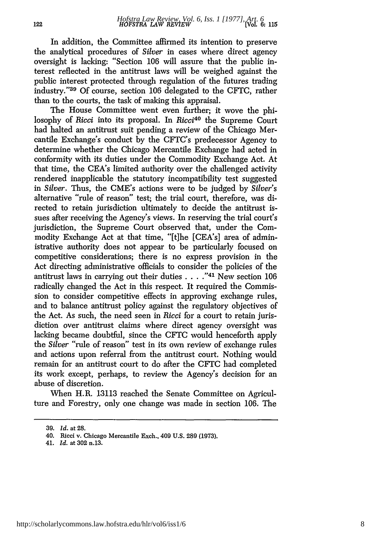In addition, the Committee affirmed its intention to preserve the analytical procedures of *Silver* in cases where direct agency oversight is lacking: "Section 106 will assure that the public interest reflected in the antitrust laws will be weighed against the public interest protected through regulation of the futures trading industry."39 Of course, section 106 delegated to the CFTC, rather than to the courts, the task of making this appraisal.

The House Committee went even further; it wove the philosophy of *Ricci* into its proposal. In *Ricci40* the Supreme Court had halted an antitrust suit pending a review of the Chicago Mercantile Exchange's conduct by the CFTC's predecessor Agency to determine whether the Chicago Mercantile Exchange had acted in conformity with its duties under the Commodity Exchange Act. At that time, the CEA's limited authority over the challenged activity rendered inapplicable the statutory incompatibility test suggested in *Silver.* Thus, the CME's actions were to be judged by *Silver's* alternative "rule of reason" test; the trial court, therefore, was directed to retain jurisdiction ultimately to decide the antitrust issues after receiving the Agency's views. In reserving the trial court's jurisdiction, the Supreme Court observed that, under the Commodity Exchange Act at that time, "[tflhe [CEA's] area of administrative authority does not appear to be particularly focused on competitive considerations; there is no express provision in the Act directing administrative officials to consider the policies of the antitrust laws in carrying out their duties **..... 41** New section 106 radically changed the Act in this respect. It required the Commission to consider competitive effects in approving exchange rules, and to balance antitrust policy against the regulatory objectives of the Act. As such, the need seen in *Ricci* for a court to retain jurisdiction over antitrust claims where direct agency oversight was lacking became doubtful, since the CFTC would henceforth apply the *Silver* "rule of reason" test in its own review of exchange rules and actions upon referral from the antitrust court. Nothing would remain for an antitrust court to do after the CFTC had completed its work except, perhaps, to review the Agency's decision for an abuse of discretion.

When H.R. 13113 reached the Senate Committee on Agriculture and Forestry, only one change was made in section 106. The

**<sup>39.</sup>** *Id.* at 28.

<sup>40.</sup> Ricci v. Chicago Mercantile Exch.. 409 U.S. 289 (1973).

<sup>41.</sup> *Id.* at 302 n.13.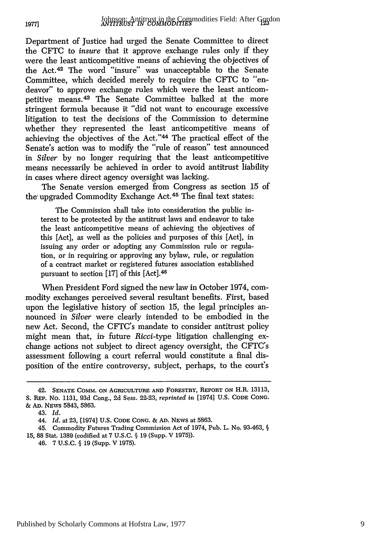Department of Justice had urged the Senate Committee to direct the CFTC to *insure* that it approve exchange rules only if they were the least anticompetitive means of achieving the objectives of the Act.42 The word "insure" was unacceptable to the Senate Committee, which decided merely to require the CFTC to "endeavor" to approve exchange rules which were the least anticompetitive means. 43 The Senate Committee balked at the more stringent formula because it "did not want to encourage excessive litigation to test the decisions of the Commission to determine whether they represented the least anticompetitive means of achieving the objectives of the Act."<sup>44</sup> The practical effect of the Senate's action was to modify the "rule of reason" test announced in *Silver* by no longer requiring that the least anticompetitive means necessarily be achieved in order to avoid antitrust liability in cases where direct agency oversight was lacking.

The Senate version emerged from Congress as section 15 of the' upgraded Commodity Exchange Act.45 The final text states:

The Commission shall take into consideration the public interest to be protected by the antitrust laws and endeavor to take the least anticompetitive means of achieving the objectives of this [Act], as well as the policies and purposes of this [Act], in issuing any order or adopting any Commission rule or regulation, or in requiring or approving any bylaw, rule, or regulation of a contract market or registered futures association established pursuant to section [17] of this [Act]. <sup>46</sup>

When President Ford signed the new law in October 1974, commodity exchanges perceived several resultant benefits. First, based upon the legislative history of section 15, the legal principles announced in *Silver* were clearly intended to be embodied in the new Act. Second, the CFTC's mandate to consider antitrust policy might mean that, in future *Ricci-type* litigation challenging exchange actions not subject to direct agency oversight, the CFTC's assessment following a court referral would constitute a final disposition of the entire controversy, subject, perhaps, to the court's

**1977]**

<sup>42.</sup> **SENATE** COMM. **ON** AGRICULTURE **AND** FORESTRY, REPORT **ON** H.R. 13113, S. REP. No. 1131, 93d Cong., 2d Sess. 22-23, *reprinted in* [1974] U.S. **CODE CONG. & AD.** NEWs 5843, 5863.

<sup>43.</sup> *Id.*

<sup>44.</sup> *Id.* at 23, [1974] U.S. **CODE CONG. & AD. NEWS** at 5863.

<sup>45.</sup> Commodity Futures Trading Commission Act of 1974, Pub. L. No. 93-463, § 15, 88 Stat. 1389 (codified at 7 U.S.C. § **19** (Supp. V 1975)).

<sup>46.</sup> **7** U.S.C. § 19 (Supp. V 1975).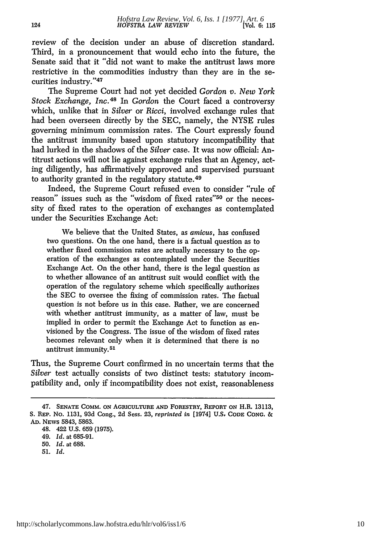review of the decision under an abuse of discretion standard. Third, in a pronouncement that would echo into the future, the Senate said that it "did not want to make the antitrust laws more restrictive in the commodities industry than they are in the securities industry."<sup>47</sup>

The Supreme Court had not yet decided *Gordon v. New York Stock Exchange, Inc.*<sup>48</sup> In *Gordon* the Court faced a controversy which, unlike that in *Silver* or *Ricci,* involved exchange rules that had been overseen directly by the SEC, namely, the NYSE rules governing minimum commission rates. The Court expressly found the antitrust immunity based upon statutory incompatibility that had lurked in the shadows of the *Silver* case. It was now official: Antitrust actions will not lie against exchange rules that an Agency, acting diligently, has affirmatively approved and supervised pursuant to authority granted in the regulatory statute.<sup>49</sup>

Indeed, the Supreme Court refused even to consider "rule of reason" issues such as the "wisdom of fixed rates"<sup>50</sup> or the necessity of fixed rates to the operation of exchanges as contemplated under the Securities Exchange Act:

We believe that the United States, as *amicus,* has confused two questions. On the one hand, there is a factual question as to whether fixed commission rates are actually necessary to the operation of the exchanges as contemplated under the Securities Exchange Act. On the other hand, there is the legal question as to whether allowance of an antitrust suit would conflict with the operation of the regulatory scheme which specifically authorizes the SEC to oversee the fixing of commission rates. The factual question is not before us in this case. Rather, we are concerned with whether antitrust immunity, as a matter of law, must be implied in order to permit the Exchange Act to function as envisioned by the Congress. The issue of the wisdom of fixed rates becomes relevant only when it is determined that there is no antitrust immunity. <sup>51</sup>

Thus, the Supreme Court confirmed in no uncertain terms that the *Silver* test actually consists of two distinct tests: statutory incompatibility and, only if incompatibility does not exist, reasonableness

51. *Id.*

<sup>47.</sup> SENATE COMM. ON **AGRICULTURE AND FORESTRY, REPORT** ON H.R. 13113, **S.** REP. No. 1131, 93d Cong., **2d** Sess. 23, *reprinted in* [1974] **U.S, CODE CONG.** *&* **AD.** NEvs 5843, 5863.

<sup>48. 422</sup> U.S. 659 (1975).

<sup>49.</sup> *Id.* at 685-91.

<sup>50.</sup> *Id.* at 688.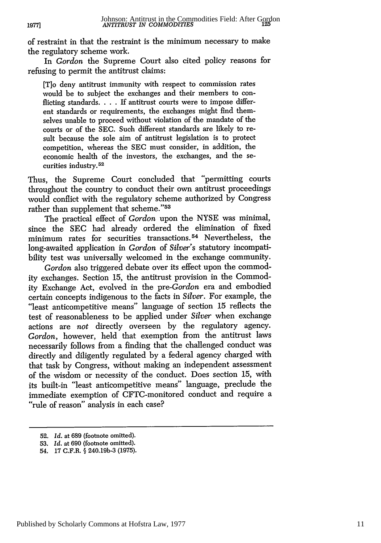of restraint in that the restraint is the minimum necessary to make the regulatory scheme work.

In *Gordon* the Supreme Court also cited policy reasons for refusing to permit the antitrust claims:

[To deny antitrust immunity with respect to commission rates would be to subject the exchanges and their members to conflicting standards. . . . If antitrust courts were to impose different standards or requirements, the exchanges might find themselves unable to proceed without violation of the mandate of the courts or of the SEC. Such different standards are likely to result because the sole aim of antitrust legislation is to protect competition, whereas the SEC must consider, in addition, the economic health of the investors, the exchanges, and the securities industry.<sup>52</sup>

Thus, the Supreme Court concluded that "permitting courts throughout the country to conduct their own antitrust proceedings would conflict with the regulatory scheme authorized by Congress rather than supplement that scheme."53

The practical effect of *Gordon* upon the NYSE was minimal, since the SEC had already ordered the elimination of fixed minimum rates for securities transactions. 54 Nevertheless, the long-awaited application in *Gordon* of *Silver's* statutory incompatibility test was universally welcomed in the exchange community.

*Gordon* also triggered debate over its effect upon the commodity exchanges. Section 15, the antitrust provision in the Commodity Exchange Act, evolved in the pre-Gordon era and embodied certain concepts indigenous to the facts in *Silver.* For example, the "least anticompetitive means" language of section 15 reflects the test of reasonableness to be applied under *Silver* when exchange actions are *not* directly overseen by the regulatory agency. *Gordon,* however, held that exemption from the antitrust laws necessarily follows from a finding that the challenged conduct was directly and diligently regulated by a federal agency charged with that task by Congress, without making an independent assessment of the wisdom or necessity of the conduct. Does section 15, with its built-in "least anticompetitive means" language, preclude the immediate exemption of CFTC-monitored conduct and require a "rule of reason" analysis in each case?

**1977]**

<sup>52.</sup> *Id.* at 689 (footnote omitted).

<sup>53.</sup> *Id.* at 690 (footnote omitted).

<sup>54. 17</sup> C.F.R. § 240.19b-3 (1975).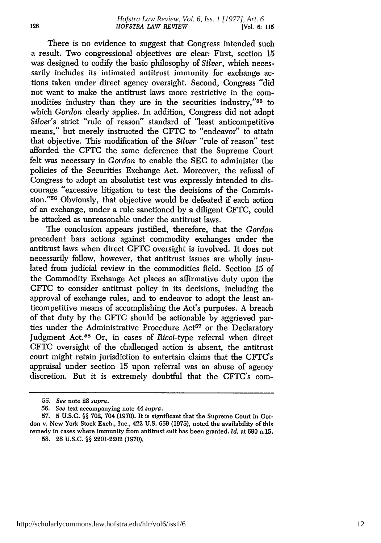There is no evidence to suggest that Congress intended such a result. Two congressional objectives are clear: First, section 15 was designed to codify the basic philosophy of *Silver,* which necessarily includes its intimated antitrust immunity for exchange actions taken under direct agency oversight. Second, Congress "did not want to make the antitrust laws more restrictive in the commodities industry than they are in the securities industry,"<sup>55</sup> to which *Gordon* clearly applies. In addition, Congress did not adopt *Silver's* strict "rule of reason" standard of "least anticompetitive means," but merely instructed the CFTC to "endeavor" to attain that objective. This modification of the *Silver* "rule of reason" test afforded the CFTC the same deference that the Supreme Court felt was necessary in *Gordon* to enable the SEC to administer the policies of the Securities Exchange Act. Moreover, the refusal of Congress to adopt an absolutist test was expressly intended to discourage "excessive litigation to test the decisions of the Commission."<sup>56</sup> Obviously, that objective would be defeated if each action of an exchange, under a rule sanctioned by a diligent CFTC, could be attacked as unreasonable under the antitrust laws.

The conclusion appears justified, therefore, that the *Gordon* precedent bars actions against commodity exchanges under the antitrust laws when direct CFTC oversight is involved. It does not necessarily follow, however, that antitrust issues are wholly insulated from judicial review in the commodities field. Section 15 of the Commodity Exchange Act places an affirmative duty upon the CFTC to consider antitrust policy in its decisions, including the approval of exchange rules, and to endeavor to adopt the least anticompetitive means of accomplishing the Act's purposes. A breach of that duty by the CFTC should be actionable by aggrieved parties under the Administrative Procedure Act<sup>57</sup> or the Declaratory Judgment Act. 58 Or, in cases of *Ricci-type* referral when direct CFTC oversight of the challenged action is absent, the antitrust court might retain jurisdiction to entertain claims that the CFTC's appraisal under section 15 upon referral was an abuse of agency discretion. But it is extremely doubtful that the CFTC's com-

*<sup>55.</sup> See* note 28 *supra.*

<sup>56.</sup> *See* text accompanying note 44 *supra.*

<sup>57. 5</sup> U.S.C. **§§** 702, 704 (1970). It is significant that the Supreme Court in Gordon v. New York Stock Exch., Inc., 422 U.S. 659 (1975), noted the availability of this remedy in cases where immunity from antitrust suit has been granted. *Id.* at 690 n.15.

<sup>58. 28</sup> U.S.C. **§§** 2201-2202 (1970).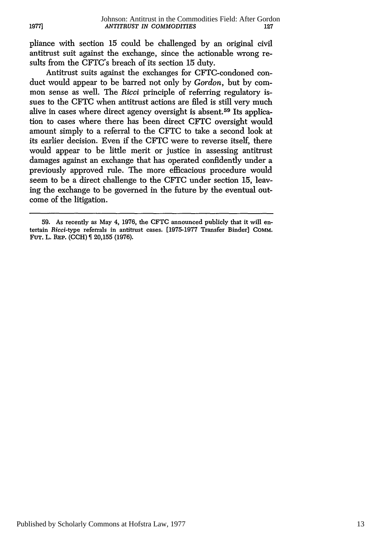pliance with section 15 could be challenged by an original civil antitrust suit against the exchange, since the actionable wrong resuits from the CFTC's breach of its section 15 duty.

Antitrust suits against the exchanges for CFTC-condoned conduct would appear to be barred not only by *Gordon,* but by common sense as well. The *Ricci* principle of referring regulatory issues to the **CFTC** when antitrust actions are filed is still very much alive in cases where direct agency oversight is absent.59 Its application to cases where there has been direct CFTC oversight would amount simply to a referral to the CFTC to take a second look at its earlier decision. Even if the CFTC were to reverse itself, there would appear to be little merit or justice in assessing antitrust damages against an exchange that has operated confidently under a previously approved rule. The more efficacious procedure would seem to be a direct challenge to the **CFTC** under section 15, leaving the exchange to be governed in the future by the eventual outcome of the litigation.

<sup>59.</sup> As recently as May 4, 1976, the CFTC announced publicly that it will entertain *Ricci-type* referrals in antitrust cases. [1975-1977 Transfer Binder] COMM. FuT. L. **REP. (CCH)** 20,155 (1976).